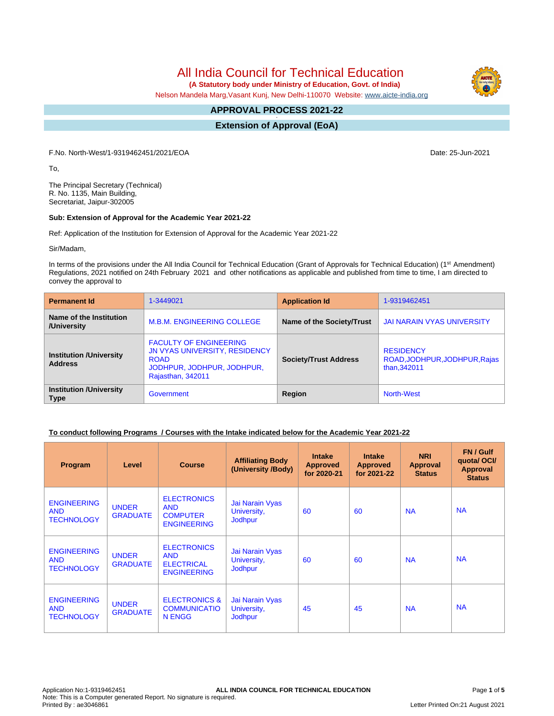All India Council for Technical Education

 **(A Statutory body under Ministry of Education, Govt. of India)**

Nelson Mandela Marg,Vasant Kunj, New Delhi-110070 Website: [www.aicte-india.org](http://www.aicte-india.org)

#### **APPROVAL PROCESS 2021-22 -**

**Extension of Approval (EoA)**

F.No. North-West/1-9319462451/2021/EOA Date: 25-Jun-2021

To,

The Principal Secretary (Technical) R. No. 1135, Main Building, Secretariat, Jaipur-302005

## **Sub: Extension of Approval for the Academic Year 2021-22**

Ref: Application of the Institution for Extension of Approval for the Academic Year 2021-22

Sir/Madam,

In terms of the provisions under the All India Council for Technical Education (Grant of Approvals for Technical Education) (1<sup>st</sup> Amendment) Regulations, 2021 notified on 24th February 2021 and other notifications as applicable and published from time to time, I am directed to convey the approval to

| <b>Permanent Id</b>                              | 1-3449021                                                                                                                        | <b>Application Id</b>        | 1-9319462451                                                      |
|--------------------------------------------------|----------------------------------------------------------------------------------------------------------------------------------|------------------------------|-------------------------------------------------------------------|
| Name of the Institution<br>/University           | <b>M.B.M. ENGINEERING COLLEGE</b>                                                                                                | Name of the Society/Trust    | JAI NARAIN VYAS UNIVERSITY                                        |
| <b>Institution /University</b><br><b>Address</b> | <b>FACULTY OF ENGINEERING</b><br>JN VYAS UNIVERSITY, RESIDENCY<br><b>ROAD</b><br>JODHPUR, JODHPUR, JODHPUR,<br>Rajasthan, 342011 | <b>Society/Trust Address</b> | <b>RESIDENCY</b><br>ROAD, JODHPUR, JODHPUR, Rajas<br>than, 342011 |
| <b>Institution /University</b><br><b>Type</b>    | Government                                                                                                                       | Region                       | <b>North-West</b>                                                 |

# **To conduct following Programs / Courses with the Intake indicated below for the Academic Year 2021-22**

| Program                                               | Level                           | <b>Course</b>                                                               | <b>Affiliating Body</b><br>(University /Body)    | <b>Intake</b><br><b>Approved</b><br>for 2020-21 | <b>Intake</b><br><b>Approved</b><br>for 2021-22 | <b>NRI</b><br>Approval<br><b>Status</b> | FN / Gulf<br>quotal OCI/<br><b>Approval</b><br><b>Status</b> |
|-------------------------------------------------------|---------------------------------|-----------------------------------------------------------------------------|--------------------------------------------------|-------------------------------------------------|-------------------------------------------------|-----------------------------------------|--------------------------------------------------------------|
| <b>ENGINEERING</b><br><b>AND</b><br><b>TECHNOLOGY</b> | <b>UNDER</b><br><b>GRADUATE</b> | <b>ELECTRONICS</b><br><b>AND</b><br><b>COMPUTER</b><br><b>ENGINEERING</b>   | Jai Narain Vyas<br>University,<br><b>Jodhpur</b> | 60                                              | 60                                              | <b>NA</b>                               | <b>NA</b>                                                    |
| <b>ENGINEERING</b><br><b>AND</b><br><b>TECHNOLOGY</b> | <b>UNDER</b><br><b>GRADUATE</b> | <b>ELECTRONICS</b><br><b>AND</b><br><b>ELECTRICAL</b><br><b>ENGINEERING</b> | Jai Narain Vyas<br>University,<br><b>Jodhpur</b> | 60                                              | 60                                              | <b>NA</b>                               | <b>NA</b>                                                    |
| <b>ENGINEERING</b><br><b>AND</b><br><b>TECHNOLOGY</b> | <b>UNDER</b><br><b>GRADUATE</b> | <b>ELECTRONICS &amp;</b><br><b>COMMUNICATIO</b><br>N ENGG                   | Jai Narain Vyas<br>University,<br><b>Jodhpur</b> | 45                                              | 45                                              | <b>NA</b>                               | <b>NA</b>                                                    |

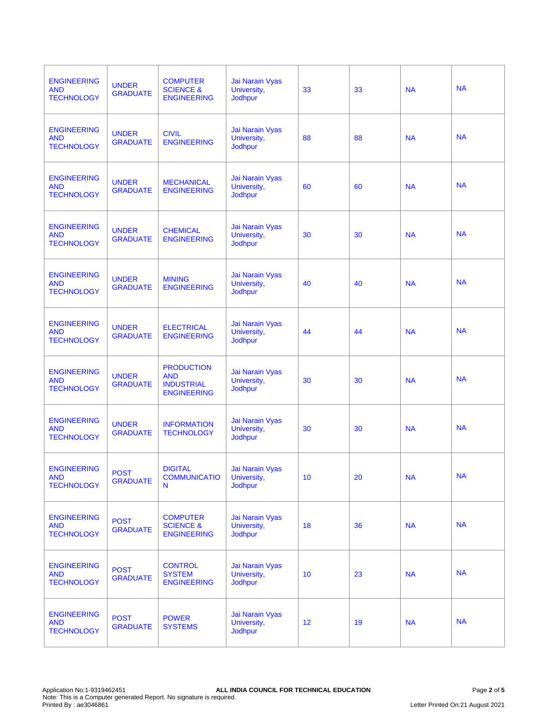| <b>ENGINEERING</b><br><b>AND</b><br><b>TECHNOLOGY</b> | <b>UNDER</b><br><b>GRADUATE</b> | <b>COMPUTER</b><br><b>SCIENCE &amp;</b><br><b>ENGINEERING</b>              | Jai Narain Vyas<br>University,<br>Jodhpur | 33              | 33 | <b>NA</b> | <b>NA</b> |
|-------------------------------------------------------|---------------------------------|----------------------------------------------------------------------------|-------------------------------------------|-----------------|----|-----------|-----------|
| <b>ENGINEERING</b><br><b>AND</b><br><b>TECHNOLOGY</b> | <b>UNDER</b><br><b>GRADUATE</b> | <b>CIVIL</b><br><b>ENGINEERING</b>                                         | Jai Narain Vyas<br>University,<br>Jodhpur | 88              | 88 | <b>NA</b> | <b>NA</b> |
| <b>ENGINEERING</b><br><b>AND</b><br><b>TECHNOLOGY</b> | <b>UNDER</b><br><b>GRADUATE</b> | <b>MECHANICAL</b><br><b>ENGINEERING</b>                                    | Jai Narain Vyas<br>University,<br>Jodhpur | 60              | 60 | <b>NA</b> | <b>NA</b> |
| <b>ENGINEERING</b><br><b>AND</b><br><b>TECHNOLOGY</b> | <b>UNDER</b><br><b>GRADUATE</b> | <b>CHEMICAL</b><br><b>ENGINEERING</b>                                      | Jai Narain Vyas<br>University,<br>Jodhpur | 30              | 30 | <b>NA</b> | <b>NA</b> |
| <b>ENGINEERING</b><br><b>AND</b><br><b>TECHNOLOGY</b> | <b>UNDER</b><br><b>GRADUATE</b> | <b>MINING</b><br><b>ENGINEERING</b>                                        | Jai Narain Vyas<br>University,<br>Jodhpur | 40              | 40 | <b>NA</b> | <b>NA</b> |
| <b>ENGINEERING</b><br><b>AND</b><br><b>TECHNOLOGY</b> | <b>UNDER</b><br><b>GRADUATE</b> | <b>ELECTRICAL</b><br><b>ENGINEERING</b>                                    | Jai Narain Vyas<br>University,<br>Jodhpur | 44              | 44 | <b>NA</b> | <b>NA</b> |
| <b>ENGINEERING</b><br><b>AND</b><br><b>TECHNOLOGY</b> | <b>UNDER</b><br><b>GRADUATE</b> | <b>PRODUCTION</b><br><b>AND</b><br><b>INDUSTRIAL</b><br><b>ENGINEERING</b> | Jai Narain Vyas<br>University,<br>Jodhpur | 30              | 30 | <b>NA</b> | <b>NA</b> |
| <b>ENGINEERING</b><br><b>AND</b><br><b>TECHNOLOGY</b> | <b>UNDER</b><br><b>GRADUATE</b> | <b>INFORMATION</b><br><b>TECHNOLOGY</b>                                    | Jai Narain Vyas<br>University,<br>Jodhpur | 30              | 30 | <b>NA</b> | <b>NA</b> |
| <b>ENGINEERING</b><br><b>AND</b><br><b>TECHNOLOGY</b> | <b>POST</b><br><b>GRADUATE</b>  | <b>DIGITAL</b><br><b>COMMUNICATIO</b><br>N                                 | Jai Narain Vyas<br>University,<br>Jodhpur | 10 <sup>1</sup> | 20 | <b>NA</b> | <b>NA</b> |
| <b>ENGINEERING</b><br><b>AND</b><br><b>TECHNOLOGY</b> | <b>POST</b><br><b>GRADUATE</b>  | <b>COMPUTER</b><br><b>SCIENCE &amp;</b><br><b>ENGINEERING</b>              | Jai Narain Vyas<br>University,<br>Jodhpur | 18              | 36 | <b>NA</b> | <b>NA</b> |
| <b>ENGINEERING</b><br><b>AND</b><br><b>TECHNOLOGY</b> | <b>POST</b><br><b>GRADUATE</b>  | <b>CONTROL</b><br><b>SYSTEM</b><br><b>ENGINEERING</b>                      | Jai Narain Vyas<br>University,<br>Jodhpur | 10              | 23 | <b>NA</b> | <b>NA</b> |
| <b>ENGINEERING</b><br><b>AND</b><br><b>TECHNOLOGY</b> | <b>POST</b><br><b>GRADUATE</b>  | <b>POWER</b><br><b>SYSTEMS</b>                                             | Jai Narain Vyas<br>University,<br>Jodhpur | 12              | 19 | <b>NA</b> | <b>NA</b> |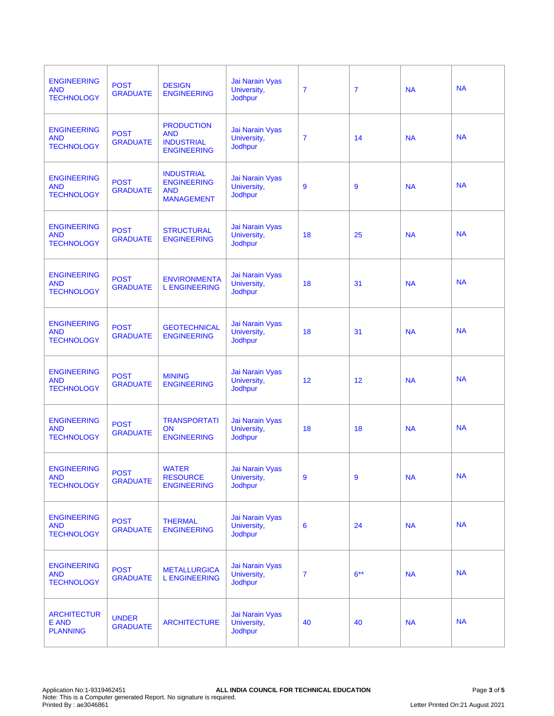| <b>ENGINEERING</b><br><b>AND</b><br><b>TECHNOLOGY</b> | <b>POST</b><br><b>GRADUATE</b>  | <b>DESIGN</b><br><b>ENGINEERING</b>                                        | Jai Narain Vyas<br>University,<br>Jodhpur        | $\overline{7}$ | $\overline{7}$ | <b>NA</b> | <b>NA</b> |
|-------------------------------------------------------|---------------------------------|----------------------------------------------------------------------------|--------------------------------------------------|----------------|----------------|-----------|-----------|
| <b>ENGINEERING</b><br><b>AND</b><br><b>TECHNOLOGY</b> | <b>POST</b><br><b>GRADUATE</b>  | <b>PRODUCTION</b><br><b>AND</b><br><b>INDUSTRIAL</b><br><b>ENGINEERING</b> | Jai Narain Vyas<br>University,<br>Jodhpur        | $\overline{7}$ | 14             | <b>NA</b> | <b>NA</b> |
| <b>ENGINEERING</b><br><b>AND</b><br><b>TECHNOLOGY</b> | <b>POST</b><br><b>GRADUATE</b>  | <b>INDUSTRIAL</b><br><b>ENGINEERING</b><br><b>AND</b><br><b>MANAGEMENT</b> | Jai Narain Vyas<br>University,<br>Jodhpur        | 9              | 9              | <b>NA</b> | <b>NA</b> |
| <b>ENGINEERING</b><br><b>AND</b><br><b>TECHNOLOGY</b> | <b>POST</b><br><b>GRADUATE</b>  | <b>STRUCTURAL</b><br><b>ENGINEERING</b>                                    | Jai Narain Vyas<br>University,<br>Jodhpur        | 18             | 25             | <b>NA</b> | <b>NA</b> |
| <b>ENGINEERING</b><br><b>AND</b><br><b>TECHNOLOGY</b> | <b>POST</b><br><b>GRADUATE</b>  | <b>ENVIRONMENTA</b><br><b>L ENGINEERING</b>                                | Jai Narain Vyas<br>University,<br>Jodhpur        | 18             | 31             | <b>NA</b> | <b>NA</b> |
| <b>ENGINEERING</b><br><b>AND</b><br><b>TECHNOLOGY</b> | <b>POST</b><br><b>GRADUATE</b>  | <b>GEOTECHNICAL</b><br><b>ENGINEERING</b>                                  | Jai Narain Vyas<br>University,<br>Jodhpur        | 18             | 31             | <b>NA</b> | <b>NA</b> |
| <b>ENGINEERING</b><br><b>AND</b><br><b>TECHNOLOGY</b> | <b>POST</b><br><b>GRADUATE</b>  | <b>MINING</b><br><b>ENGINEERING</b>                                        | Jai Narain Vyas<br>University,<br><b>Jodhpur</b> | 12             | 12             | <b>NA</b> | <b>NA</b> |
| <b>ENGINEERING</b><br><b>AND</b><br><b>TECHNOLOGY</b> | <b>POST</b><br><b>GRADUATE</b>  | <b>TRANSPORTATI</b><br><b>ON</b><br><b>ENGINEERING</b>                     | Jai Narain Vyas<br>University,<br>Jodhpur        | 18             | 18             | <b>NA</b> | <b>NA</b> |
| <b>ENGINEERING</b><br><b>AND</b><br><b>TECHNOLOGY</b> | <b>POST</b><br><b>GRADUATE</b>  | <b>WATER</b><br><b>RESOURCE</b><br><b>ENGINEERING</b>                      | Jai Narain Vyas<br>University,<br>Jodhpur        | 9              | 9              | <b>NA</b> | <b>NA</b> |
| <b>ENGINEERING</b><br><b>AND</b><br><b>TECHNOLOGY</b> | <b>POST</b><br><b>GRADUATE</b>  | <b>THERMAL</b><br><b>ENGINEERING</b>                                       | Jai Narain Vyas<br>University,<br>Jodhpur        | 6              | 24             | <b>NA</b> | <b>NA</b> |
| <b>ENGINEERING</b><br><b>AND</b><br><b>TECHNOLOGY</b> | <b>POST</b><br><b>GRADUATE</b>  | <b>METALLURGICA</b><br><b>L ENGINEERING</b>                                | Jai Narain Vyas<br>University,<br>Jodhpur        | $\overline{7}$ | $6***$         | <b>NA</b> | <b>NA</b> |
| <b>ARCHITECTUR</b><br>E AND<br><b>PLANNING</b>        | <b>UNDER</b><br><b>GRADUATE</b> | <b>ARCHITECTURE</b>                                                        | Jai Narain Vyas<br>University,<br>Jodhpur        | 40             | 40             | <b>NA</b> | <b>NA</b> |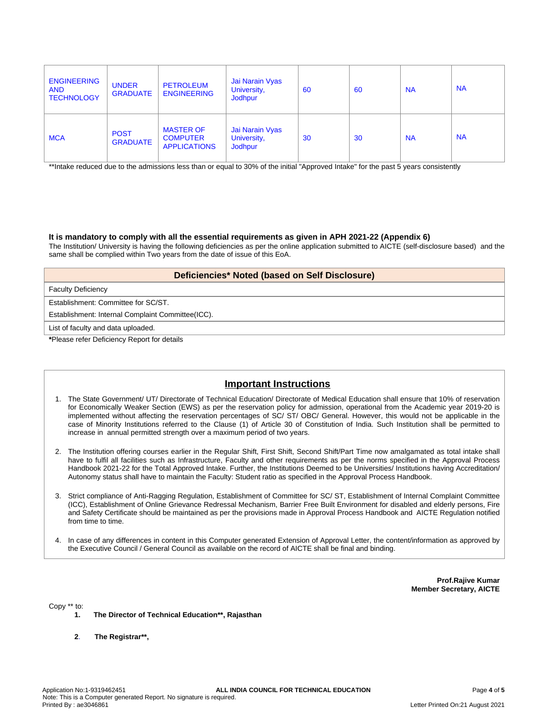| <b>ENGINEERING</b><br><b>AND</b><br><b>TECHNOLOGY</b> | <b>UNDER</b><br><b>GRADUATE</b> | <b>PETROLEUM</b><br><b>ENGINEERING</b>                     | Jai Narain Vyas<br>University,<br><b>Jodhpur</b> | 60 | 60 | <b>NA</b> | <b>NA</b> |
|-------------------------------------------------------|---------------------------------|------------------------------------------------------------|--------------------------------------------------|----|----|-----------|-----------|
| <b>MCA</b>                                            | <b>POST</b><br><b>GRADUATE</b>  | <b>MASTER OF</b><br><b>COMPUTER</b><br><b>APPLICATIONS</b> | Jai Narain Vyas<br>University,<br><b>Jodhpur</b> | 30 | 30 | <b>NA</b> | <b>NA</b> |

\*\*Intake reduced due to the admissions less than or equal to 30% of the initial "Approved Intake" for the past 5 years consistently

### **It is mandatory to comply with all the essential requirements as given in APH 2021-22 (Appendix 6)**

The Institution/ University is having the following deficiencies as per the online application submitted to AICTE (self-disclosure based) and the same shall be complied within Two years from the date of issue of this EoA.

### **Deficiencies\* Noted (based on Self Disclosure)**

Faculty Deficiency

Establishment: Committee for SC/ST.

Establishment: Internal Complaint Committee(ICC).

List of faculty and data uploaded.

**\***Please refer Deficiency Report for details

# **Important Instructions**

- 1. The State Government/ UT/ Directorate of Technical Education/ Directorate of Medical Education shall ensure that 10% of reservation for Economically Weaker Section (EWS) as per the reservation policy for admission, operational from the Academic year 2019-20 is implemented without affecting the reservation percentages of SC/ ST/ OBC/ General. However, this would not be applicable in the case of Minority Institutions referred to the Clause (1) of Article 30 of Constitution of India. Such Institution shall be permitted to increase in annual permitted strength over a maximum period of two years.
- 2. The Institution offering courses earlier in the Regular Shift, First Shift, Second Shift/Part Time now amalgamated as total intake shall have to fulfil all facilities such as Infrastructure, Faculty and other requirements as per the norms specified in the Approval Process Handbook 2021-22 for the Total Approved Intake. Further, the Institutions Deemed to be Universities/ Institutions having Accreditation/ Autonomy status shall have to maintain the Faculty: Student ratio as specified in the Approval Process Handbook.
- 3. Strict compliance of Anti-Ragging Regulation, Establishment of Committee for SC/ ST, Establishment of Internal Complaint Committee (ICC), Establishment of Online Grievance Redressal Mechanism, Barrier Free Built Environment for disabled and elderly persons, Fire and Safety Certificate should be maintained as per the provisions made in Approval Process Handbook and AICTE Regulation notified from time to time.
- 4. In case of any differences in content in this Computer generated Extension of Approval Letter, the content/information as approved by the Executive Council / General Council as available on the record of AICTE shall be final and binding.

**Prof.Rajive Kumar Member Secretary, AICTE**

Copy \*\* to:

- **1. The Director of Technical Education\*\*, Rajasthan**
- **2**. **The Registrar\*\*,**